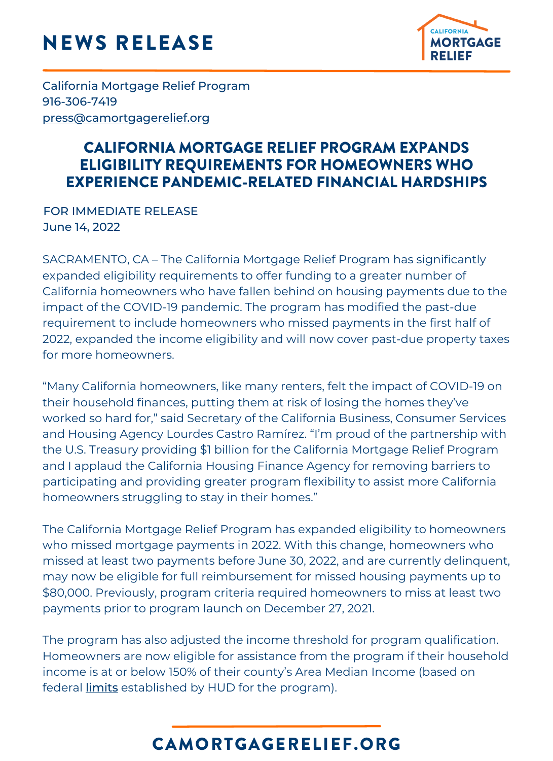# NEWS RELEASE



California Mortgage Relief Program 916-306-7419 [press@camortgagerelief.org](mailto:press@camortgagerelief.org)

#### CALIFORNIA MORTGAGE RELIEF PROGRAM EXPANDS ELIGIBILITY REQUIREMENTS FOR HOMEOWNERS WHO EXPERIENCE PANDEMIC-RELATED FINANCIAL HARDSHIPS

FOR IMMEDIATE RELEASE June 14, 2022

SACRAMENTO, CA – The California Mortgage Relief Program has significantly expanded eligibility requirements to offer funding to a greater number of California homeowners who have fallen behind on housing payments due to the impact of the COVID-19 pandemic. The program has modified the past-due requirement to include homeowners who missed payments in the first half of 2022, expanded the income eligibility and will now cover past-due property taxes for more homeowners.

"Many California homeowners, like many renters, felt the impact of COVID-19 on their household finances, putting them at risk of losing the homes they've worked so hard for," said Secretary of the California Business, Consumer Services and Housing Agency Lourdes Castro Ramírez. "I'm proud of the partnership with the U.S. Treasury providing \$1 billion for the California Mortgage Relief Program and I applaud the California Housing Finance Agency for removing barriers to participating and providing greater program flexibility to assist more California homeowners struggling to stay in their homes."

The California Mortgage Relief Program has expanded eligibility to homeowners who missed mortgage payments in 2022. With this change, homeowners who missed at least two payments before June 30, 2022, and are currently delinquent, may now be eligible for full reimbursement for missed housing payments up to \$80,000. Previously, program criteria required homeowners to miss at least two payments prior to program launch on December 27, 2021.

The program has also adjusted the income threshold for program qualification. Homeowners are now eligible for assistance from the program if their household income is at or below 150% of their county's Area Median Income (based on federal *[limits](https://www.huduser.gov/portal/datasets/il/il2022/2022sum_haf.odn)* established by HUD for the program).

## CAMORTGAGERELIEF.ORG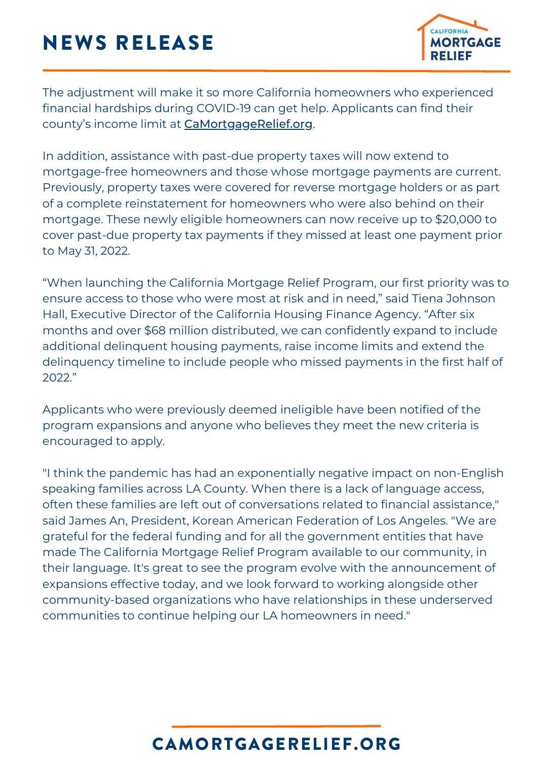# NEWS RELEASE



The adjustment will make it so more California homeowners who experienced financial hardships during COVID-19 can get help. Applicants can find their county's income limit at [CaMortgageRelief.org](http://camortgagerelief.org/).

In addition, assistance with past-due property taxes will now extend to mortgage-free homeowners and those whose mortgage payments are current. Previously, property taxes were covered for reverse mortgage holders or as part of a complete reinstatement for homeowners who were also behind on their mortgage. These newly eligible homeowners can now receive up to \$20,000 to cover past-due property tax payments if they missed at least one payment prior to May 31, 2022.

"When launching the California Mortgage Relief Program, our first priority was to ensure access to those who were most at risk and in need," said Tiena Johnson Hall, Executive Director of the California Housing Finance Agency. "After six months and over \$68 million distributed, we can confidently expand to include additional delinquent housing payments, raise income limits and extend the delinquency timeline to include people who missed payments in the first half of 2022."

Applicants who were previously deemed ineligible have been notified of the program expansions and anyone who believes they meet the new criteria is encouraged to apply.

"I think the pandemic has had an exponentially negative impact on non-English speaking families across LA County. When there is a lack of language access, often these families are left out of conversations related to financial assistance," said James An, President, Korean American Federation of Los Angeles. "We are grateful for the federal funding and for all the government entities that have made The California Mortgage Relief Program available to our community, in their language. It's great to see the program evolve with the announcement of expansions effective today, and we look forward to working alongside other community-based organizations who have relationships in these underserved communities to continue helping our LA homeowners in need."

### CAMORTGAGERELIEF.ORG